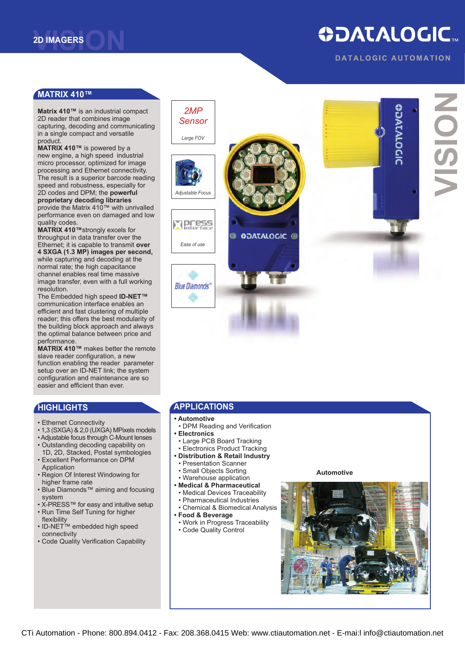# **ODATALOGIC.**

**DATALOGIC AUTOMATION** 

#### **[MATRIX](http://www.ctiautomation.net/Datasensor-2D-Imagers.htm) 410™**

**Matrix 410™** is an industrial compact 2D reader that combines image capturing, decoding and communicating in a single compact and versatile product.

**MATRIX 410™** is powered by a new engine, a high speed industrial micro processor, optimized for image processing and Ethernet connectivity. The result is a superior barcode reading speed and robustness, especially for 2D codes and DPM; the **powerful proprietary decoding libraries** provide the Matrix 410™ with unrivalled performance even on damaged and low quality codes.

**MATRIX 410™**strongly excels for throughput in data transfer over the Ethernet; it is capable to transmit **over 4 SXGA (1.3 MP) images per second,** while capturing and decoding at the normal rate; the high capacitance channel enables real time massive image transfer, even with a full working resolution.

The Embedded high speed **ID-NET™** communication interface enables an efficient and fast clustering of multiple reader; this offers the best modularity of the building block approach and always the optimal balance between price and performance.

**MATRIX 410™** makes better the remote slave reader configuration, a new function enabling the reader parameter setup over an ID-NET link; the system configuration and maintenance are so easier and efficient than ever.

### **HIGHLIGHTS**

- Ethernet Connectivity
- 1,3 (SXGA) & 2,0 (UXGA) MPixels models
- Adjustable focus through C-Mount lenses
- Outstanding decoding capability on
- 1D, 2D, Stacked, Postal symbologies • Excellent Performance on DPM
- Application
- Region Of Interest Windowing for higher frame rate
- Blue Diamonds™ aiming and focusing system
- X-PRESS™ for easy and intuitive setup • Run Time Self Tuning for higher
- flexibility
- ID-NET™ embedded high speed connectivity
- Code Quality Verification Capability



# **appli cations**

- **• Automotive**
- DPM Reading and Verification
- **• Electronics**
- Large PCB Board Tracking
- Electronics Product Tracking
- **• Distribution & Retail Industry**
- Presentation Scanner • Small Objects Sorting
- Warehouse application
- **• Medical & Pharmaceutical**
- Medical Devices Traceability
- Pharmaceutical Industries
- Chemical & Biomedical Analysis
- **• Food & Beverage**
- Work in Progress Traceability
- Code Quality Control

#### **Automotive**